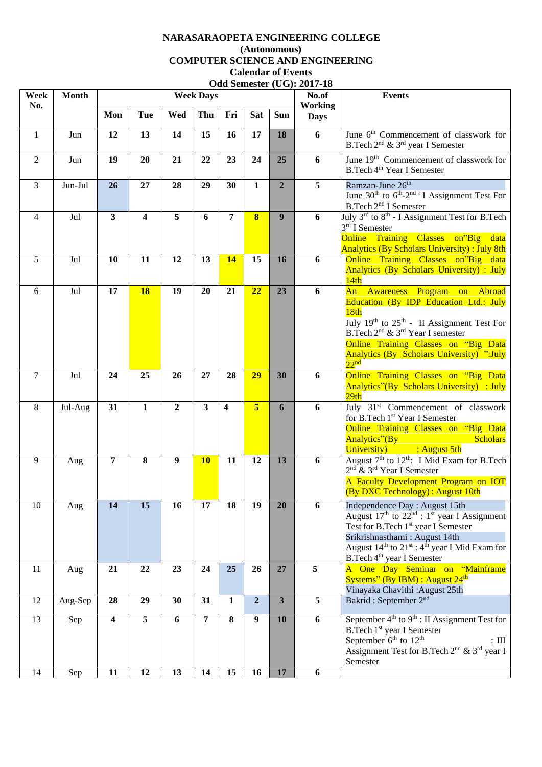## **NARASARAOPETA ENGINEERING COLLEGE (Autonomous) COMPUTER SCIENCE AND ENGINEERING Calendar of Events Odd Semester (UG): 2017-18**

| Week<br>No.    | <b>Month</b> | <b>Week Days</b>        |                         |                |                         |                         |                         |                         | No.of<br><b>Working</b> | <b>Events</b>                                                                                                                                                                                                                                                                                                          |
|----------------|--------------|-------------------------|-------------------------|----------------|-------------------------|-------------------------|-------------------------|-------------------------|-------------------------|------------------------------------------------------------------------------------------------------------------------------------------------------------------------------------------------------------------------------------------------------------------------------------------------------------------------|
|                |              | Mon                     | Tue                     | Wed            | Thu                     | Fri                     | <b>Sat</b>              | Sun                     | <b>Days</b>             |                                                                                                                                                                                                                                                                                                                        |
| $\mathbf{1}$   | Jun          | 12                      | 13                      | 14             | 15                      | 16                      | 17                      | 18                      | 6                       | June $6th$ Commencement of classwork for<br>B.Tech 2 <sup>nd</sup> & 3 <sup>rd</sup> year I Semester                                                                                                                                                                                                                   |
| 2              | Jun          | 19                      | 20                      | 21             | 22                      | 23                      | 24                      | 25                      | 6                       | June $19th$ Commencement of classwork for<br>B.Tech 4 <sup>th</sup> Year I Semester                                                                                                                                                                                                                                    |
| $\overline{3}$ | Jun-Jul      | 26                      | 27                      | 28             | 29                      | 30                      | $\mathbf{1}$            | $\overline{2}$          | $\overline{5}$          | Ramzan-June 26 <sup>th</sup><br>June $30^{th}$ to $6^{th}$ - $2^{nd}$ : I Assignment Test For<br>B.Tech 2 <sup>nd</sup> I Semester                                                                                                                                                                                     |
| $\overline{4}$ | Jul          | $\overline{\mathbf{3}}$ | $\overline{\mathbf{4}}$ | 5              | 6                       | $\overline{7}$          | $\overline{\mathbf{8}}$ | $\overline{9}$          | 6                       | July 3 <sup>rd</sup> to 8 <sup>th</sup> - I Assignment Test for B.Tech<br>$3rd$ I Semester<br>Online Training Classes on"Big data<br><b>Analytics (By Scholars University): July 8th</b>                                                                                                                               |
| 5              | Jul          | 10                      | 11                      | 12             | 13                      | 14                      | 15                      | 16                      | 6                       | Online Training Classes on"Big data<br><b>Analytics (By Scholars University) : July</b><br>14th                                                                                                                                                                                                                        |
| 6              | Jul          | 17                      | <b>18</b>               | 19             | 20                      | 21                      | 22                      | 23                      | 6                       | An Awareness Program on Abroad<br>Education (By IDP Education Ltd.: July<br>18 <sub>th</sub><br>July 19th to 25th - II Assignment Test For<br>B.Tech 2 <sup>nd</sup> & 3 <sup>rd</sup> Year I semester<br>Online Training Classes on "Big Data<br><b>Analytics (By Scholars University) ":July</b><br>22 <sup>nd</sup> |
| $\overline{7}$ | Jul          | 24                      | 25                      | 26             | 27                      | 28                      | 29                      | 30                      | 6                       | Online Training Classes on "Big Data<br><b>Analytics"(By Scholars University) : July</b><br>29th                                                                                                                                                                                                                       |
| 8              | Jul-Aug      | 31                      | $\mathbf{1}$            | $\overline{2}$ | $\overline{\mathbf{3}}$ | $\overline{\mathbf{4}}$ | $\overline{\mathbf{5}}$ | 6                       | 6                       | July 31 <sup>st</sup> Commencement of classwork<br>for B.Tech 1st Year I Semester<br>Online Training Classes on "Big Data<br><b>Scholars</b><br>Analytics"(By                                                                                                                                                          |
| 9              | Aug          | $\overline{7}$          | 8                       | 9              | <b>10</b>               | 11                      | 12                      | 13                      | 6                       | University) : August 5th<br>August 7 <sup>th</sup> to 12 <sup>th</sup> : I Mid Exam for B.Tech<br>$2nd$ & $3rd$ Year I Semester<br>A Faculty Development Program on IOT<br>(By DXC Technology): August 10th                                                                                                            |
| 10             | Aug          | 14                      | 15                      | 16             | 17                      | 18                      | 19                      | 20                      | 6                       | Independence Day: August 15th<br>August $17th$ to $22nd$ : $1st$ year I Assignment<br>Test for B.Tech 1 <sup>st</sup> year I Semester<br>Srikrishnasthami: August 14th<br>August $14th$ to $21st$ : $4th$ year I Mid Exam for<br>B.Tech 4 <sup>th</sup> year I Semester                                                |
| 11             | Aug          | 21                      | 22                      | 23             | 24                      | 25                      | 26                      | 27                      | 5                       | A One Day Seminar on "Mainframe<br>Systems" (By IBM) : August $24th$<br>Vinayaka Chavithi: August 25th                                                                                                                                                                                                                 |
| 12             | Aug-Sep      | 28                      | 29                      | 30             | 31                      | $\mathbf{1}$            | $\overline{2}$          | $\overline{\mathbf{3}}$ | 5                       | Bakrid: September 2 <sup>nd</sup>                                                                                                                                                                                                                                                                                      |
| 13             | Sep          | $\overline{\mathbf{4}}$ | $\overline{5}$          | 6              | $\overline{7}$          | 8                       | 9                       | 10                      | 6                       | September $4th$ to $9th$ : II Assignment Test for<br>B.Tech 1 <sup>st</sup> year I Semester<br>September 6 <sup>th</sup> to 12 <sup>th</sup><br>$\colon \mathrm{III}$<br>Assignment Test for B.Tech 2 <sup>nd</sup> & 3 <sup>rd</sup> year I<br>Semester                                                               |
| 14             | Sep          | 11                      | 12                      | 13             | 14                      | 15                      | 16                      | 17                      | 6                       |                                                                                                                                                                                                                                                                                                                        |